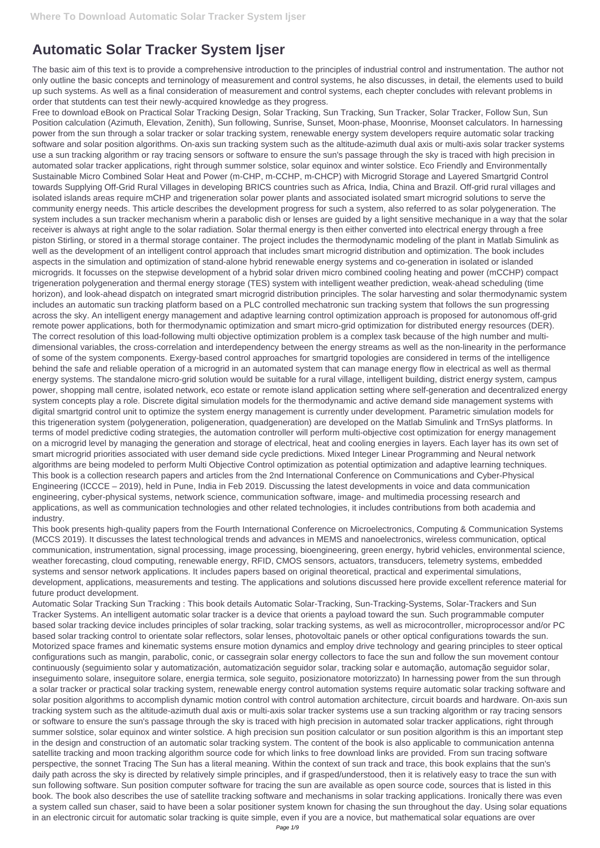## **Automatic Solar Tracker System Ijser**

The basic aim of this text is to provide a comprehensive introduction to the principles of industrial control and instrumentation. The author not only outline the basic concepts and terninology of measurement and control systems, he also discusses, in detail, the elements used to build up such systems. As well as a final consideration of measurement and control systems, each chepter concludes with relevant problems in order that stutdents can test their newly-acquired knowledge as they progress.

Free to download eBook on Practical Solar Tracking Design, Solar Tracking, Sun Tracking, Sun Tracker, Solar Tracker, Follow Sun, Sun Position calculation (Azimuth, Elevation, Zenith), Sun following, Sunrise, Sunset, Moon-phase, Moonrise, Moonset calculators. In harnessing power from the sun through a solar tracker or solar tracking system, renewable energy system developers require automatic solar tracking software and solar position algorithms. On-axis sun tracking system such as the altitude-azimuth dual axis or multi-axis solar tracker systems use a sun tracking algorithm or ray tracing sensors or software to ensure the sun's passage through the sky is traced with high precision in automated solar tracker applications, right through summer solstice, solar equinox and winter solstice. Eco Friendly and Environmentally Sustainable Micro Combined Solar Heat and Power (m-CHP, m-CCHP, m-CHCP) with Microgrid Storage and Layered Smartgrid Control towards Supplying Off-Grid Rural Villages in developing BRICS countries such as Africa, India, China and Brazil. Off-grid rural villages and isolated islands areas require mCHP and trigeneration solar power plants and associated isolated smart microgrid solutions to serve the community energy needs. This article describes the development progress for such a system, also referred to as solar polygeneration. The system includes a sun tracker mechanism wherin a parabolic dish or lenses are guided by a light sensitive mechanique in a way that the solar receiver is always at right angle to the solar radiation. Solar thermal energy is then either converted into electrical energy through a free piston Stirling, or stored in a thermal storage container. The project includes the thermodynamic modeling of the plant in Matlab Simulink as well as the development of an intelligent control approach that includes smart microgrid distribution and optimization. The book includes aspects in the simulation and optimization of stand-alone hybrid renewable energy systems and co-generation in isolated or islanded microgrids. It focusses on the stepwise development of a hybrid solar driven micro combined cooling heating and power (mCCHP) compact trigeneration polygeneration and thermal energy storage (TES) system with intelligent weather prediction, weak-ahead scheduling (time horizon), and look-ahead dispatch on integrated smart microgrid distribution principles. The solar harvesting and solar thermodynamic system includes an automatic sun tracking platform based on a PLC controlled mechatronic sun tracking system that follows the sun progressing across the sky. An intelligent energy management and adaptive learning control optimization approach is proposed for autonomous off-grid remote power applications, both for thermodynamic optimization and smart micro-grid optimization for distributed energy resources (DER). The correct resolution of this load-following multi objective optimization problem is a complex task because of the high number and multidimensional variables, the cross-correlation and interdependency between the energy streams as well as the non-linearity in the performance of some of the system components. Exergy-based control approaches for smartgrid topologies are considered in terms of the intelligence behind the safe and reliable operation of a microgrid in an automated system that can manage energy flow in electrical as well as thermal energy systems. The standalone micro-grid solution would be suitable for a rural village, intelligent building, district energy system, campus power, shopping mall centre, isolated network, eco estate or remote island application setting where self-generation and decentralized energy system concepts play a role. Discrete digital simulation models for the thermodynamic and active demand side management systems with digital smartgrid control unit to optimize the system energy management is currently under development. Parametric simulation models for this trigeneration system (polygeneration, poligeneration, quadgeneration) are developed on the Matlab Simulink and TrnSys platforms. In terms of model predictive coding strategies, the automation controller will perform multi-objective cost optimization for energy management on a microgrid level by managing the generation and storage of electrical, heat and cooling energies in layers. Each layer has its own set of smart microgrid priorities associated with user demand side cycle predictions. Mixed Integer Linear Programming and Neural network algorithms are being modeled to perform Multi Objective Control optimization as potential optimization and adaptive learning techniques. This book is a collection research papers and articles from the 2nd International Conference on Communications and Cyber-Physical Engineering (ICCCE – 2019), held in Pune, India in Feb 2019. Discussing the latest developments in voice and data communication engineering, cyber-physical systems, network science, communication software, image- and multimedia processing research and applications, as well as communication technologies and other related technologies, it includes contributions from both academia and industry.

This book presents high-quality papers from the Fourth International Conference on Microelectronics, Computing & Communication Systems (MCCS 2019). It discusses the latest technological trends and advances in MEMS and nanoelectronics, wireless communication, optical communication, instrumentation, signal processing, image processing, bioengineering, green energy, hybrid vehicles, environmental science, weather forecasting, cloud computing, renewable energy, RFID, CMOS sensors, actuators, transducers, telemetry systems, embedded systems and sensor network applications. It includes papers based on original theoretical, practical and experimental simulations, development, applications, measurements and testing. The applications and solutions discussed here provide excellent reference material for future product development.

Automatic Solar Tracking Sun Tracking : This book details Automatic Solar-Tracking, Sun-Tracking-Systems, Solar-Trackers and Sun Tracker Systems. An intelligent automatic solar tracker is a device that orients a payload toward the sun. Such programmable computer based solar tracking device includes principles of solar tracking, solar tracking systems, as well as microcontroller, microprocessor and/or PC based solar tracking control to orientate solar reflectors, solar lenses, photovoltaic panels or other optical configurations towards the sun.

Motorized space frames and kinematic systems ensure motion dynamics and employ drive technology and gearing principles to steer optical configurations such as mangin, parabolic, conic, or cassegrain solar energy collectors to face the sun and follow the sun movement contour continuously (seguimiento solar y automatización, automatización seguidor solar, tracking solar e automação, automação seguidor solar, inseguimento solare, inseguitore solare, energia termica, sole seguito, posizionatore motorizzato) In harnessing power from the sun through a solar tracker or practical solar tracking system, renewable energy control automation systems require automatic solar tracking software and solar position algorithms to accomplish dynamic motion control with control automation architecture, circuit boards and hardware. On-axis sun tracking system such as the altitude-azimuth dual axis or multi-axis solar tracker systems use a sun tracking algorithm or ray tracing sensors or software to ensure the sun's passage through the sky is traced with high precision in automated solar tracker applications, right through summer solstice, solar equinox and winter solstice. A high precision sun position calculator or sun position algorithm is this an important step in the design and construction of an automatic solar tracking system. The content of the book is also applicable to communication antenna satellite tracking and moon tracking algorithm source code for which links to free download links are provided. From sun tracing software perspective, the sonnet Tracing The Sun has a literal meaning. Within the context of sun track and trace, this book explains that the sun's daily path across the sky is directed by relatively simple principles, and if grasped/understood, then it is relatively easy to trace the sun with sun following software. Sun position computer software for tracing the sun are available as open source code, sources that is listed in this book. The book also describes the use of satellite tracking software and mechanisms in solar tracking applications. Ironically there was even a system called sun chaser, said to have been a solar positioner system known for chasing the sun throughout the day. Using solar equations in an electronic circuit for automatic solar tracking is quite simple, even if you are a novice, but mathematical solar equations are over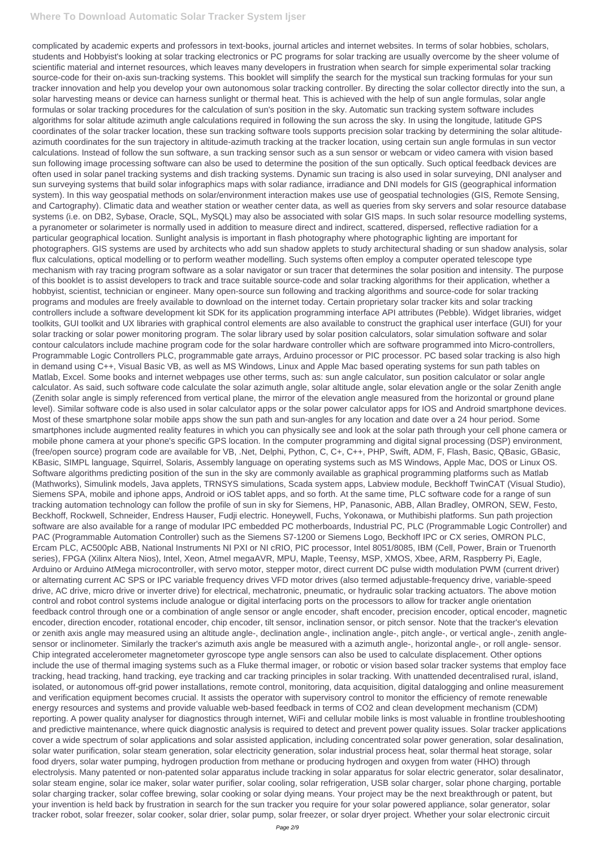complicated by academic experts and professors in text-books, journal articles and internet websites. In terms of solar hobbies, scholars, students and Hobbyist's looking at solar tracking electronics or PC programs for solar tracking are usually overcome by the sheer volume of scientific material and internet resources, which leaves many developers in frustration when search for simple experimental solar tracking source-code for their on-axis sun-tracking systems. This booklet will simplify the search for the mystical sun tracking formulas for your sun tracker innovation and help you develop your own autonomous solar tracking controller. By directing the solar collector directly into the sun, a solar harvesting means or device can harness sunlight or thermal heat. This is achieved with the help of sun angle formulas, solar angle formulas or solar tracking procedures for the calculation of sun's position in the sky. Automatic sun tracking system software includes algorithms for solar altitude azimuth angle calculations required in following the sun across the sky. In using the longitude, latitude GPS coordinates of the solar tracker location, these sun tracking software tools supports precision solar tracking by determining the solar altitudeazimuth coordinates for the sun trajectory in altitude-azimuth tracking at the tracker location, using certain sun angle formulas in sun vector calculations. Instead of follow the sun software, a sun tracking sensor such as a sun sensor or webcam or video camera with vision based sun following image processing software can also be used to determine the position of the sun optically. Such optical feedback devices are often used in solar panel tracking systems and dish tracking systems. Dynamic sun tracing is also used in solar surveying, DNI analyser and sun surveying systems that build solar infographics maps with solar radiance, irradiance and DNI models for GIS (geographical information system). In this way geospatial methods on solar/environment interaction makes use use of geospatial technologies (GIS, Remote Sensing, and Cartography). Climatic data and weather station or weather center data, as well as queries from sky servers and solar resource database systems (i.e. on DB2, Sybase, Oracle, SQL, MySQL) may also be associated with solar GIS maps. In such solar resource modelling systems, a pyranometer or solarimeter is normally used in addition to measure direct and indirect, scattered, dispersed, reflective radiation for a particular geographical location. Sunlight analysis is important in flash photography where photographic lighting are important for photographers. GIS systems are used by architects who add sun shadow applets to study architectural shading or sun shadow analysis, solar flux calculations, optical modelling or to perform weather modelling. Such systems often employ a computer operated telescope type mechanism with ray tracing program software as a solar navigator or sun tracer that determines the solar position and intensity. The purpose of this booklet is to assist developers to track and trace suitable source-code and solar tracking algorithms for their application, whether a hobbyist, scientist, technician or engineer. Many open-source sun following and tracking algorithms and source-code for solar tracking programs and modules are freely available to download on the internet today. Certain proprietary solar tracker kits and solar tracking controllers include a software development kit SDK for its application programming interface API attributes (Pebble). Widget libraries, widget toolkits, GUI toolkit and UX libraries with graphical control elements are also available to construct the graphical user interface (GUI) for your solar tracking or solar power monitoring program. The solar library used by solar position calculators, solar simulation software and solar contour calculators include machine program code for the solar hardware controller which are software programmed into Micro-controllers, Programmable Logic Controllers PLC, programmable gate arrays, Arduino processor or PIC processor. PC based solar tracking is also high in demand using C++, Visual Basic VB, as well as MS Windows, Linux and Apple Mac based operating systems for sun path tables on Matlab, Excel. Some books and internet webpages use other terms, such as: sun angle calculator, sun position calculator or solar angle calculator. As said, such software code calculate the solar azimuth angle, solar altitude angle, solar elevation angle or the solar Zenith angle (Zenith solar angle is simply referenced from vertical plane, the mirror of the elevation angle measured from the horizontal or ground plane level). Similar software code is also used in solar calculator apps or the solar power calculator apps for IOS and Android smartphone devices. Most of these smartphone solar mobile apps show the sun path and sun-angles for any location and date over a 24 hour period. Some smartphones include augmented reality features in which you can physically see and look at the solar path through your cell phone camera or mobile phone camera at your phone's specific GPS location. In the computer programming and digital signal processing (DSP) environment, (free/open source) program code are available for VB, .Net, Delphi, Python, C, C+, C++, PHP, Swift, ADM, F, Flash, Basic, QBasic, GBasic, KBasic, SIMPL language, Squirrel, Solaris, Assembly language on operating systems such as MS Windows, Apple Mac, DOS or Linux OS. Software algorithms predicting position of the sun in the sky are commonly available as graphical programming platforms such as Matlab (Mathworks), Simulink models, Java applets, TRNSYS simulations, Scada system apps, Labview module, Beckhoff TwinCAT (Visual Studio), Siemens SPA, mobile and iphone apps, Android or iOS tablet apps, and so forth. At the same time, PLC software code for a range of sun tracking automation technology can follow the profile of sun in sky for Siemens, HP, Panasonic, ABB, Allan Bradley, OMRON, SEW, Festo, Beckhoff, Rockwell, Schneider, Endress Hauser, Fudji electric. Honeywell, Fuchs, Yokonawa, or Muthibishi platforms. Sun path projection software are also available for a range of modular IPC embedded PC motherboards, Industrial PC, PLC (Programmable Logic Controller) and PAC (Programmable Automation Controller) such as the Siemens S7-1200 or Siemens Logo, Beckhoff IPC or CX series, OMRON PLC, Ercam PLC, AC500plc ABB, National Instruments NI PXI or NI cRIO, PIC processor, Intel 8051/8085, IBM (Cell, Power, Brain or Truenorth series), FPGA (Xilinx Altera Nios), Intel, Xeon, Atmel megaAVR, MPU, Maple, Teensy, MSP, XMOS, Xbee, ARM, Raspberry Pi, Eagle, Arduino or Arduino AtMega microcontroller, with servo motor, stepper motor, direct current DC pulse width modulation PWM (current driver) or alternating current AC SPS or IPC variable frequency drives VFD motor drives (also termed adjustable-frequency drive, variable-speed drive, AC drive, micro drive or inverter drive) for electrical, mechatronic, pneumatic, or hydraulic solar tracking actuators. The above motion control and robot control systems include analogue or digital interfacing ports on the processors to allow for tracker angle orientation feedback control through one or a combination of angle sensor or angle encoder, shaft encoder, precision encoder, optical encoder, magnetic encoder, direction encoder, rotational encoder, chip encoder, tilt sensor, inclination sensor, or pitch sensor. Note that the tracker's elevation or zenith axis angle may measured using an altitude angle-, declination angle-, inclination angle-, pitch angle-, or vertical angle-, zenith anglesensor or inclinometer. Similarly the tracker's azimuth axis angle be measured with a azimuth angle-, horizontal angle-, or roll angle- sensor. Chip integrated accelerometer magnetometer gyroscope type angle sensors can also be used to calculate displacement. Other options include the use of thermal imaging systems such as a Fluke thermal imager, or robotic or vision based solar tracker systems that employ face tracking, head tracking, hand tracking, eye tracking and car tracking principles in solar tracking. With unattended decentralised rural, island, isolated, or autonomous off-grid power installations, remote control, monitoring, data acquisition, digital datalogging and online measurement and verification equipment becomes crucial. It assists the operator with supervisory control to monitor the efficiency of remote renewable energy resources and systems and provide valuable web-based feedback in terms of CO2 and clean development mechanism (CDM) reporting. A power quality analyser for diagnostics through internet, WiFi and cellular mobile links is most valuable in frontline troubleshooting and predictive maintenance, where quick diagnostic analysis is required to detect and prevent power quality issues. Solar tracker applications cover a wide spectrum of solar applications and solar assisted application, including concentrated solar power generation, solar desalination, solar water purification, solar steam generation, solar electricity generation, solar industrial process heat, solar thermal heat storage, solar food dryers, solar water pumping, hydrogen production from methane or producing hydrogen and oxygen from water (HHO) through electrolysis. Many patented or non-patented solar apparatus include tracking in solar apparatus for solar electric generator, solar desalinator, solar steam engine, solar ice maker, solar water purifier, solar cooling, solar refrigeration, USB solar charger, solar phone charging, portable solar charging tracker, solar coffee brewing, solar cooking or solar dying means. Your project may be the next breakthrough or patent, but your invention is held back by frustration in search for the sun tracker you require for your solar powered appliance, solar generator, solar tracker robot, solar freezer, solar cooker, solar drier, solar pump, solar freezer, or solar dryer project. Whether your solar electronic circuit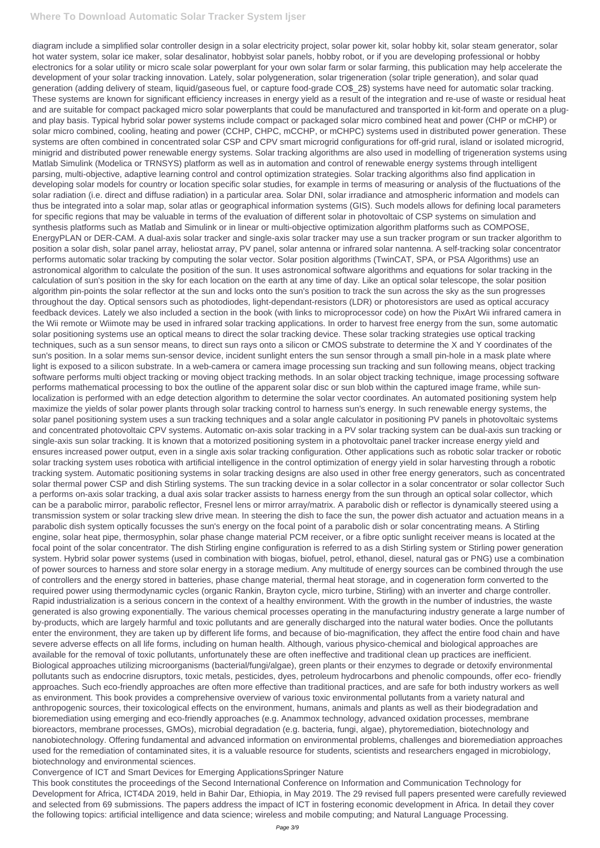diagram include a simplified solar controller design in a solar electricity project, solar power kit, solar hobby kit, solar steam generator, solar hot water system, solar ice maker, solar desalinator, hobbyist solar panels, hobby robot, or if you are developing professional or hobby electronics for a solar utility or micro scale solar powerplant for your own solar farm or solar farming, this publication may help accelerate the development of your solar tracking innovation. Lately, solar polygeneration, solar trigeneration (solar triple generation), and solar quad generation (adding delivery of steam, liquid/gaseous fuel, or capture food-grade CO\$\_2\$) systems have need for automatic solar tracking. These systems are known for significant efficiency increases in energy yield as a result of the integration and re-use of waste or residual heat and are suitable for compact packaged micro solar powerplants that could be manufactured and transported in kit-form and operate on a plugand play basis. Typical hybrid solar power systems include compact or packaged solar micro combined heat and power (CHP or mCHP) or solar micro combined, cooling, heating and power (CCHP, CHPC, mCCHP, or mCHPC) systems used in distributed power generation. These systems are often combined in concentrated solar CSP and CPV smart microgrid configurations for off-grid rural, island or isolated microgrid, minigrid and distributed power renewable energy systems. Solar tracking algorithms are also used in modelling of trigeneration systems using Matlab Simulink (Modelica or TRNSYS) platform as well as in automation and control of renewable energy systems through intelligent parsing, multi-objective, adaptive learning control and control optimization strategies. Solar tracking algorithms also find application in developing solar models for country or location specific solar studies, for example in terms of measuring or analysis of the fluctuations of the solar radiation (i.e. direct and diffuse radiation) in a particular area. Solar DNI, solar irradiance and atmospheric information and models can thus be integrated into a solar map, solar atlas or geographical information systems (GIS). Such models allows for defining local parameters for specific regions that may be valuable in terms of the evaluation of different solar in photovoltaic of CSP systems on simulation and synthesis platforms such as Matlab and Simulink or in linear or multi-objective optimization algorithm platforms such as COMPOSE, EnergyPLAN or DER-CAM. A dual-axis solar tracker and single-axis solar tracker may use a sun tracker program or sun tracker algorithm to position a solar dish, solar panel array, heliostat array, PV panel, solar antenna or infrared solar nantenna. A self-tracking solar concentrator performs automatic solar tracking by computing the solar vector. Solar position algorithms (TwinCAT, SPA, or PSA Algorithms) use an astronomical algorithm to calculate the position of the sun. It uses astronomical software algorithms and equations for solar tracking in the calculation of sun's position in the sky for each location on the earth at any time of day. Like an optical solar telescope, the solar position algorithm pin-points the solar reflector at the sun and locks onto the sun's position to track the sun across the sky as the sun progresses throughout the day. Optical sensors such as photodiodes, light-dependant-resistors (LDR) or photoresistors are used as optical accuracy feedback devices. Lately we also included a section in the book (with links to microprocessor code) on how the PixArt Wii infrared camera in the Wii remote or Wiimote may be used in infrared solar tracking applications. In order to harvest free energy from the sun, some automatic solar positioning systems use an optical means to direct the solar tracking device. These solar tracking strategies use optical tracking techniques, such as a sun sensor means, to direct sun rays onto a silicon or CMOS substrate to determine the X and Y coordinates of the sun's position. In a solar mems sun-sensor device, incident sunlight enters the sun sensor through a small pin-hole in a mask plate where light is exposed to a silicon substrate. In a web-camera or camera image processing sun tracking and sun following means, object tracking software performs multi object tracking or moving object tracking methods. In an solar object tracking technique, image processing software performs mathematical processing to box the outline of the apparent solar disc or sun blob within the captured image frame, while sunlocalization is performed with an edge detection algorithm to determine the solar vector coordinates. An automated positioning system help maximize the yields of solar power plants through solar tracking control to harness sun's energy. In such renewable energy systems, the solar panel positioning system uses a sun tracking techniques and a solar angle calculator in positioning PV panels in photovoltaic systems and concentrated photovoltaic CPV systems. Automatic on-axis solar tracking in a PV solar tracking system can be dual-axis sun tracking or single-axis sun solar tracking. It is known that a motorized positioning system in a photovoltaic panel tracker increase energy yield and ensures increased power output, even in a single axis solar tracking configuration. Other applications such as robotic solar tracker or robotic solar tracking system uses robotica with artificial intelligence in the control optimization of energy yield in solar harvesting through a robotic tracking system. Automatic positioning systems in solar tracking designs are also used in other free energy generators, such as concentrated solar thermal power CSP and dish Stirling systems. The sun tracking device in a solar collector in a solar concentrator or solar collector Such a performs on-axis solar tracking, a dual axis solar tracker assists to harness energy from the sun through an optical solar collector, which can be a parabolic mirror, parabolic reflector, Fresnel lens or mirror array/matrix. A parabolic dish or reflector is dynamically steered using a transmission system or solar tracking slew drive mean. In steering the dish to face the sun, the power dish actuator and actuation means in a parabolic dish system optically focusses the sun's energy on the focal point of a parabolic dish or solar concentrating means. A Stirling engine, solar heat pipe, thermosyphin, solar phase change material PCM receiver, or a fibre optic sunlight receiver means is located at the focal point of the solar concentrator. The dish Stirling engine configuration is referred to as a dish Stirling system or Stirling power generation system. Hybrid solar power systems (used in combination with biogas, biofuel, petrol, ethanol, diesel, natural gas or PNG) use a combination of power sources to harness and store solar energy in a storage medium. Any multitude of energy sources can be combined through the use of controllers and the energy stored in batteries, phase change material, thermal heat storage, and in cogeneration form converted to the required power using thermodynamic cycles (organic Rankin, Brayton cycle, micro turbine, Stirling) with an inverter and charge controller. Rapid industrialization is a serious concern in the context of a healthy environment. With the growth in the number of industries, the waste generated is also growing exponentially. The various chemical processes operating in the manufacturing industry generate a large number of by-products, which are largely harmful and toxic pollutants and are generally discharged into the natural water bodies. Once the pollutants enter the environment, they are taken up by different life forms, and because of bio-magnification, they affect the entire food chain and have severe adverse effects on all life forms, including on human health. Although, various physico-chemical and biological approaches are available for the removal of toxic pollutants, unfortunately these are often ineffective and traditional clean up practices are inefficient. Biological approaches utilizing microorganisms (bacterial/fungi/algae), green plants or their enzymes to degrade or detoxify environmental pollutants such as endocrine disruptors, toxic metals, pesticides, dyes, petroleum hydrocarbons and phenolic compounds, offer eco- friendly approaches. Such eco-friendly approaches are often more effective than traditional practices, and are safe for both industry workers as well as environment. This book provides a comprehensive overview of various toxic environmental pollutants from a variety natural and anthropogenic sources, their toxicological effects on the environment, humans, animals and plants as well as their biodegradation and bioremediation using emerging and eco-friendly approaches (e.g. Anammox technology, advanced oxidation processes, membrane bioreactors, membrane processes, GMOs), microbial degradation (e.g. bacteria, fungi, algae), phytoremediation, biotechnology and nanobiotechnology. Offering fundamental and advanced information on environmental problems, challenges and bioremediation approaches used for the remediation of contaminated sites, it is a valuable resource for students, scientists and researchers engaged in microbiology, biotechnology and environmental sciences.

Convergence of ICT and Smart Devices for Emerging ApplicationsSpringer Nature

This book constitutes the proceedings of the Second International Conference on Information and Communication Technology for Development for Africa, ICT4DA 2019, held in Bahir Dar, Ethiopia, in May 2019. The 29 revised full papers presented were carefully reviewed and selected from 69 submissions. The papers address the impact of ICT in fostering economic development in Africa. In detail they cover the following topics: artificial intelligence and data science; wireless and mobile computing; and Natural Language Processing.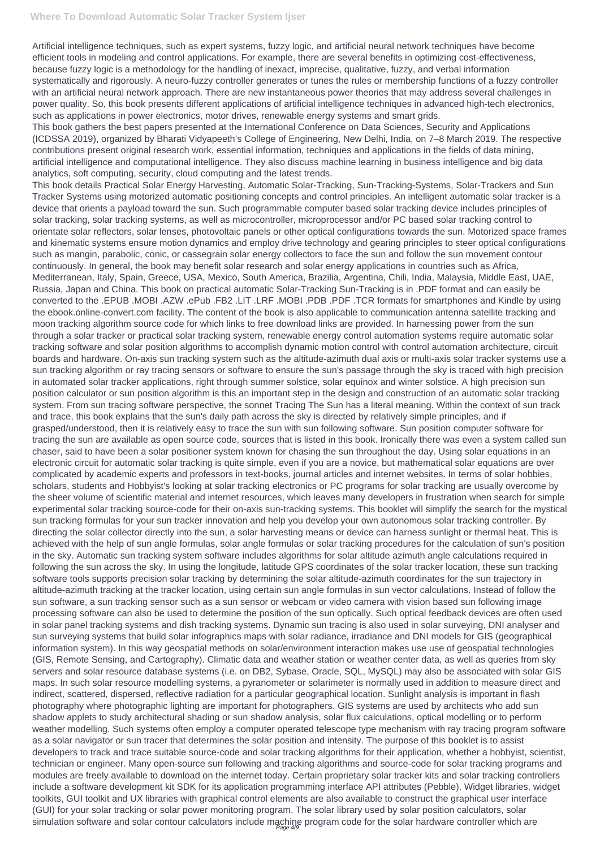Artificial intelligence techniques, such as expert systems, fuzzy logic, and artificial neural network techniques have become efficient tools in modeling and control applications. For example, there are several benefits in optimizing cost-effectiveness, because fuzzy logic is a methodology for the handling of inexact, imprecise, qualitative, fuzzy, and verbal information systematically and rigorously. A neuro-fuzzy controller generates or tunes the rules or membership functions of a fuzzy controller with an artificial neural network approach. There are new instantaneous power theories that may address several challenges in power quality. So, this book presents different applications of artificial intelligence techniques in advanced high-tech electronics, such as applications in power electronics, motor drives, renewable energy systems and smart grids.

This book details Practical Solar Energy Harvesting, Automatic Solar-Tracking, Sun-Tracking-Systems, Solar-Trackers and Sun Tracker Systems using motorized automatic positioning concepts and control principles. An intelligent automatic solar tracker is a device that orients a payload toward the sun. Such programmable computer based solar tracking device includes principles of solar tracking, solar tracking systems, as well as microcontroller, microprocessor and/or PC based solar tracking control to orientate solar reflectors, solar lenses, photovoltaic panels or other optical configurations towards the sun. Motorized space frames and kinematic systems ensure motion dynamics and employ drive technology and gearing principles to steer optical configurations such as mangin, parabolic, conic, or cassegrain solar energy collectors to face the sun and follow the sun movement contour continuously. In general, the book may benefit solar research and solar energy applications in countries such as Africa, Mediterranean, Italy, Spain, Greece, USA, Mexico, South America, Brazilia, Argentina, Chili, India, Malaysia, Middle East, UAE, Russia, Japan and China. This book on practical automatic Solar-Tracking Sun-Tracking is in .PDF format and can easily be converted to the .EPUB .MOBI .AZW .ePub .FB2 .LIT .LRF .MOBI .PDB .PDF .TCR formats for smartphones and Kindle by using the ebook.online-convert.com facility. The content of the book is also applicable to communication antenna satellite tracking and moon tracking algorithm source code for which links to free download links are provided. In harnessing power from the sun through a solar tracker or practical solar tracking system, renewable energy control automation systems require automatic solar tracking software and solar position algorithms to accomplish dynamic motion control with control automation architecture, circuit boards and hardware. On-axis sun tracking system such as the altitude-azimuth dual axis or multi-axis solar tracker systems use a sun tracking algorithm or ray tracing sensors or software to ensure the sun's passage through the sky is traced with high precision in automated solar tracker applications, right through summer solstice, solar equinox and winter solstice. A high precision sun position calculator or sun position algorithm is this an important step in the design and construction of an automatic solar tracking system. From sun tracing software perspective, the sonnet Tracing The Sun has a literal meaning. Within the context of sun track and trace, this book explains that the sun's daily path across the sky is directed by relatively simple principles, and if grasped/understood, then it is relatively easy to trace the sun with sun following software. Sun position computer software for tracing the sun are available as open source code, sources that is listed in this book. Ironically there was even a system called sun chaser, said to have been a solar positioner system known for chasing the sun throughout the day. Using solar equations in an electronic circuit for automatic solar tracking is quite simple, even if you are a novice, but mathematical solar equations are over complicated by academic experts and professors in text-books, journal articles and internet websites. In terms of solar hobbies, scholars, students and Hobbyist's looking at solar tracking electronics or PC programs for solar tracking are usually overcome by the sheer volume of scientific material and internet resources, which leaves many developers in frustration when search for simple experimental solar tracking source-code for their on-axis sun-tracking systems. This booklet will simplify the search for the mystical sun tracking formulas for your sun tracker innovation and help you develop your own autonomous solar tracking controller. By directing the solar collector directly into the sun, a solar harvesting means or device can harness sunlight or thermal heat. This is achieved with the help of sun angle formulas, solar angle formulas or solar tracking procedures for the calculation of sun's position in the sky. Automatic sun tracking system software includes algorithms for solar altitude azimuth angle calculations required in following the sun across the sky. In using the longitude, latitude GPS coordinates of the solar tracker location, these sun tracking software tools supports precision solar tracking by determining the solar altitude-azimuth coordinates for the sun trajectory in altitude-azimuth tracking at the tracker location, using certain sun angle formulas in sun vector calculations. Instead of follow the sun software, a sun tracking sensor such as a sun sensor or webcam or video camera with vision based sun following image processing software can also be used to determine the position of the sun optically. Such optical feedback devices are often used in solar panel tracking systems and dish tracking systems. Dynamic sun tracing is also used in solar surveying, DNI analyser and sun surveying systems that build solar infographics maps with solar radiance, irradiance and DNI models for GIS (geographical information system). In this way geospatial methods on solar/environment interaction makes use use of geospatial technologies (GIS, Remote Sensing, and Cartography). Climatic data and weather station or weather center data, as well as queries from sky servers and solar resource database systems (i.e. on DB2, Sybase, Oracle, SQL, MySQL) may also be associated with solar GIS maps. In such solar resource modelling systems, a pyranometer or solarimeter is normally used in addition to measure direct and indirect, scattered, dispersed, reflective radiation for a particular geographical location. Sunlight analysis is important in flash photography where photographic lighting are important for photographers. GIS systems are used by architects who add sun shadow applets to study architectural shading or sun shadow analysis, solar flux calculations, optical modelling or to perform weather modelling. Such systems often employ a computer operated telescope type mechanism with ray tracing program software as a solar navigator or sun tracer that determines the solar position and intensity. The purpose of this booklet is to assist developers to track and trace suitable source-code and solar tracking algorithms for their application, whether a hobbyist, scientist, technician or engineer. Many open-source sun following and tracking algorithms and source-code for solar tracking programs and modules are freely available to download on the internet today. Certain proprietary solar tracker kits and solar tracking controllers include a software development kit SDK for its application programming interface API attributes (Pebble). Widget libraries, widget toolkits, GUI toolkit and UX libraries with graphical control elements are also available to construct the graphical user interface (GUI) for your solar tracking or solar power monitoring program. The solar library used by solar position calculators, solar simulation software and solar contour calculators include machine program code for the solar hardware controller which are

This book gathers the best papers presented at the International Conference on Data Sciences, Security and Applications (ICDSSA 2019), organized by Bharati Vidyapeeth's College of Engineering, New Delhi, India, on 7–8 March 2019. The respective contributions present original research work, essential information, techniques and applications in the fields of data mining, artificial intelligence and computational intelligence. They also discuss machine learning in business intelligence and big data analytics, soft computing, security, cloud computing and the latest trends.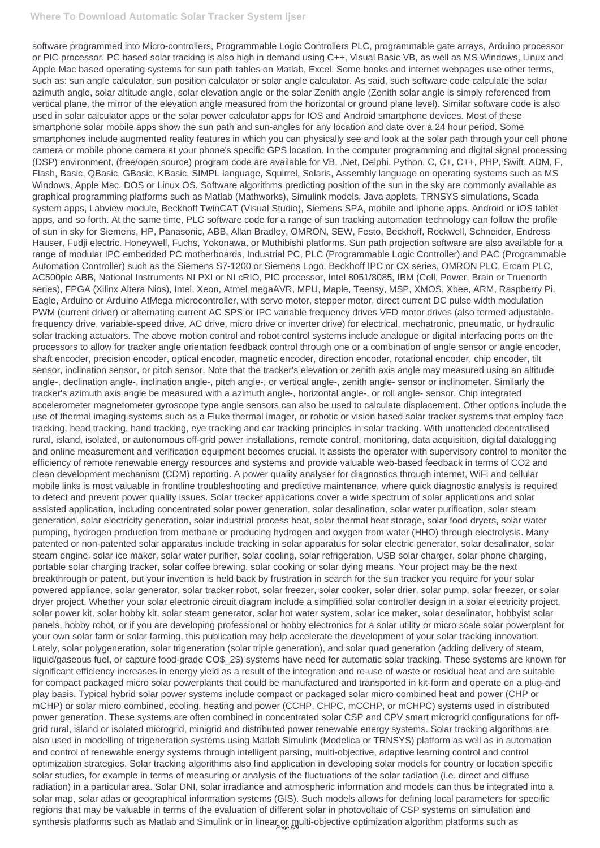software programmed into Micro-controllers, Programmable Logic Controllers PLC, programmable gate arrays, Arduino processor or PIC processor. PC based solar tracking is also high in demand using C++, Visual Basic VB, as well as MS Windows, Linux and Apple Mac based operating systems for sun path tables on Matlab, Excel. Some books and internet webpages use other terms, such as: sun angle calculator, sun position calculator or solar angle calculator. As said, such software code calculate the solar azimuth angle, solar altitude angle, solar elevation angle or the solar Zenith angle (Zenith solar angle is simply referenced from vertical plane, the mirror of the elevation angle measured from the horizontal or ground plane level). Similar software code is also used in solar calculator apps or the solar power calculator apps for IOS and Android smartphone devices. Most of these smartphone solar mobile apps show the sun path and sun-angles for any location and date over a 24 hour period. Some smartphones include augmented reality features in which you can physically see and look at the solar path through your cell phone camera or mobile phone camera at your phone's specific GPS location. In the computer programming and digital signal processing (DSP) environment, (free/open source) program code are available for VB, .Net, Delphi, Python, C, C+, C++, PHP, Swift, ADM, F, Flash, Basic, QBasic, GBasic, KBasic, SIMPL language, Squirrel, Solaris, Assembly language on operating systems such as MS Windows, Apple Mac, DOS or Linux OS. Software algorithms predicting position of the sun in the sky are commonly available as graphical programming platforms such as Matlab (Mathworks), Simulink models, Java applets, TRNSYS simulations, Scada system apps, Labview module, Beckhoff TwinCAT (Visual Studio), Siemens SPA, mobile and iphone apps, Android or iOS tablet apps, and so forth. At the same time, PLC software code for a range of sun tracking automation technology can follow the profile of sun in sky for Siemens, HP, Panasonic, ABB, Allan Bradley, OMRON, SEW, Festo, Beckhoff, Rockwell, Schneider, Endress Hauser, Fudji electric. Honeywell, Fuchs, Yokonawa, or Muthibishi platforms. Sun path projection software are also available for a range of modular IPC embedded PC motherboards, Industrial PC, PLC (Programmable Logic Controller) and PAC (Programmable Automation Controller) such as the Siemens S7-1200 or Siemens Logo, Beckhoff IPC or CX series, OMRON PLC, Ercam PLC, AC500plc ABB, National Instruments NI PXI or NI cRIO, PIC processor, Intel 8051/8085, IBM (Cell, Power, Brain or Truenorth series), FPGA (Xilinx Altera Nios), Intel, Xeon, Atmel megaAVR, MPU, Maple, Teensy, MSP, XMOS, Xbee, ARM, Raspberry Pi, Eagle, Arduino or Arduino AtMega microcontroller, with servo motor, stepper motor, direct current DC pulse width modulation PWM (current driver) or alternating current AC SPS or IPC variable frequency drives VFD motor drives (also termed adjustablefrequency drive, variable-speed drive, AC drive, micro drive or inverter drive) for electrical, mechatronic, pneumatic, or hydraulic solar tracking actuators. The above motion control and robot control systems include analogue or digital interfacing ports on the processors to allow for tracker angle orientation feedback control through one or a combination of angle sensor or angle encoder, shaft encoder, precision encoder, optical encoder, magnetic encoder, direction encoder, rotational encoder, chip encoder, tilt sensor, inclination sensor, or pitch sensor. Note that the tracker's elevation or zenith axis angle may measured using an altitude angle-, declination angle-, inclination angle-, pitch angle-, or vertical angle-, zenith angle- sensor or inclinometer. Similarly the tracker's azimuth axis angle be measured with a azimuth angle-, horizontal angle-, or roll angle- sensor. Chip integrated accelerometer magnetometer gyroscope type angle sensors can also be used to calculate displacement. Other options include the use of thermal imaging systems such as a Fluke thermal imager, or robotic or vision based solar tracker systems that employ face tracking, head tracking, hand tracking, eye tracking and car tracking principles in solar tracking. With unattended decentralised rural, island, isolated, or autonomous off-grid power installations, remote control, monitoring, data acquisition, digital datalogging and online measurement and verification equipment becomes crucial. It assists the operator with supervisory control to monitor the efficiency of remote renewable energy resources and systems and provide valuable web-based feedback in terms of CO2 and clean development mechanism (CDM) reporting. A power quality analyser for diagnostics through internet, WiFi and cellular mobile links is most valuable in frontline troubleshooting and predictive maintenance, where quick diagnostic analysis is required to detect and prevent power quality issues. Solar tracker applications cover a wide spectrum of solar applications and solar assisted application, including concentrated solar power generation, solar desalination, solar water purification, solar steam generation, solar electricity generation, solar industrial process heat, solar thermal heat storage, solar food dryers, solar water pumping, hydrogen production from methane or producing hydrogen and oxygen from water (HHO) through electrolysis. Many patented or non-patented solar apparatus include tracking in solar apparatus for solar electric generator, solar desalinator, solar steam engine, solar ice maker, solar water purifier, solar cooling, solar refrigeration, USB solar charger, solar phone charging, portable solar charging tracker, solar coffee brewing, solar cooking or solar dying means. Your project may be the next breakthrough or patent, but your invention is held back by frustration in search for the sun tracker you require for your solar powered appliance, solar generator, solar tracker robot, solar freezer, solar cooker, solar drier, solar pump, solar freezer, or solar dryer project. Whether your solar electronic circuit diagram include a simplified solar controller design in a solar electricity project, solar power kit, solar hobby kit, solar steam generator, solar hot water system, solar ice maker, solar desalinator, hobbyist solar panels, hobby robot, or if you are developing professional or hobby electronics for a solar utility or micro scale solar powerplant for your own solar farm or solar farming, this publication may help accelerate the development of your solar tracking innovation. Lately, solar polygeneration, solar trigeneration (solar triple generation), and solar quad generation (adding delivery of steam, liquid/gaseous fuel, or capture food-grade CO\$\_2\$) systems have need for automatic solar tracking. These systems are known for significant efficiency increases in energy yield as a result of the integration and re-use of waste or residual heat and are suitable for compact packaged micro solar powerplants that could be manufactured and transported in kit-form and operate on a plug-and play basis. Typical hybrid solar power systems include compact or packaged solar micro combined heat and power (CHP or mCHP) or solar micro combined, cooling, heating and power (CCHP, CHPC, mCCHP, or mCHPC) systems used in distributed power generation. These systems are often combined in concentrated solar CSP and CPV smart microgrid configurations for offgrid rural, island or isolated microgrid, minigrid and distributed power renewable energy systems. Solar tracking algorithms are also used in modelling of trigeneration systems using Matlab Simulink (Modelica or TRNSYS) platform as well as in automation and control of renewable energy systems through intelligent parsing, multi-objective, adaptive learning control and control optimization strategies. Solar tracking algorithms also find application in developing solar models for country or location specific solar studies, for example in terms of measuring or analysis of the fluctuations of the solar radiation (i.e. direct and diffuse radiation) in a particular area. Solar DNI, solar irradiance and atmospheric information and models can thus be integrated into a solar map, solar atlas or geographical information systems (GIS). Such models allows for defining local parameters for specific regions that may be valuable in terms of the evaluation of different solar in photovoltaic of CSP systems on simulation and synthesis platforms such as Matlab and Simulink or in linear or multi-objective optimization algorithm platforms such as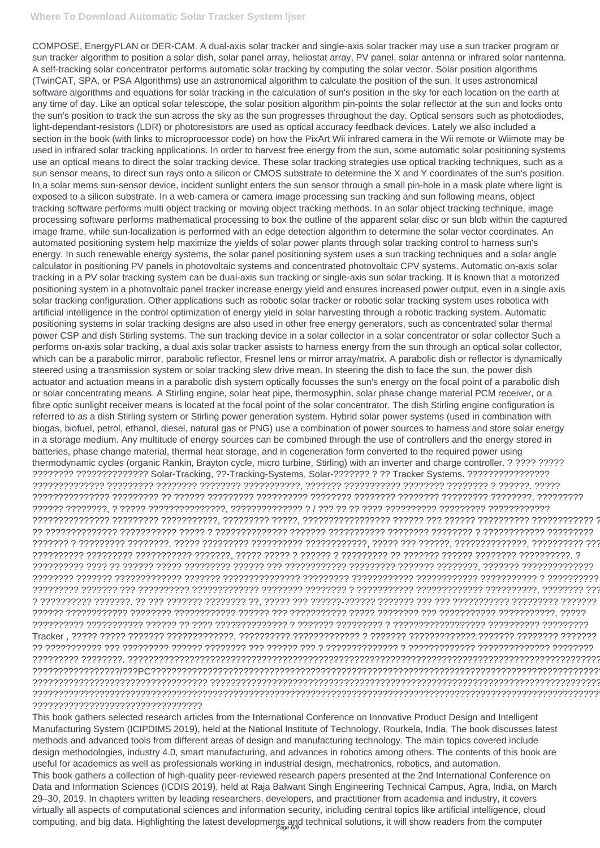COMPOSE, EnergyPLAN or DER-CAM. A dual-axis solar tracker and single-axis solar tracker may use a sun tracker program or sun tracker algorithm to position a solar dish, solar panel array, heliostat array, PV panel, solar antenna or infrared solar nantenna. A self-tracking solar concentrator performs automatic solar tracking by computing the solar vector. Solar position algorithms (TwinCAT, SPA, or PSA Algorithms) use an astronomical algorithm to calculate the position of the sun. It uses astronomical software algorithms and equations for solar tracking in the calculation of sun's position in the sky for each location on the earth at any time of day. Like an optical solar telescope, the solar position algorithm pin-points the solar reflector at the sun and locks onto the sun's position to track the sun across the sky as the sun progresses throughout the day. Optical sensors such as photodiodes, light-dependant-resistors (LDR) or photoresistors are used as optical accuracy feedback devices. Lately we also included a section in the book (with links to microprocessor code) on how the PixArt Wii infrared camera in the Wii remote or Wiimote may be used in infrared solar tracking applications. In order to harvest free energy from the sun, some automatic solar positioning systems use an optical means to direct the solar tracking device. These solar tracking strategies use optical tracking techniques, such as a sun sensor means, to direct sun rays onto a silicon or CMOS substrate to determine the X and Y coordinates of the sun's position. In a solar mems sun-sensor device, incident sunlight enters the sun sensor through a small pin-hole in a mask plate where light is exposed to a silicon substrate. In a web-camera or camera image processing sun tracking and sun following means, object tracking software performs multi object tracking or moving object tracking methods. In an solar object tracking technique, image processing software performs mathematical processing to box the outline of the apparent solar disc or sun blob within the captured image frame, while sun-localization is performed with an edge detection algorithm to determine the solar vector coordinates. An automated positioning system help maximize the yields of solar power plants through solar tracking control to harness sun's energy. In such renewable energy systems, the solar panel positioning system uses a sun tracking techniques and a solar angle calculator in positioning PV panels in photovoltaic systems and concentrated photovoltaic CPV systems. Automatic on-axis solar tracking in a PV solar tracking system can be dual-axis sun tracking or single-axis sun solar tracking. It is known that a motorized positioning system in a photovoltaic panel tracker increase energy yield and ensures increased power output, even in a single axis solar tracking configuration. Other applications such as robotic solar tracker or robotic solar tracking system uses robotica with artificial intelligence in the control optimization of energy yield in solar harvesting through a robotic tracking system. Automatic positioning systems in solar tracking designs are also used in other free energy generators, such as concentrated solar thermal power CSP and dish Stirling systems. The sun tracking device in a solar collector in a solar concentrator or solar collector Such a performs on-axis solar tracking, a dual axis solar tracker assists to harness energy from the sun through an optical solar collector, which can be a parabolic mirror, parabolic reflector, Fresnel lens or mirror array/matrix. A parabolic dish or reflector is dynamically steered using a transmission system or solar tracking slew drive mean. In steering the dish to face the sun, the power dish actuator and actuation means in a parabolic dish system optically focusses the sun's energy on the focal point of a parabolic dish or solar concentrating means. A Stirling engine, solar heat pipe, thermosyphin, solar phase change material PCM receiver, or a fibre optic sunlight receiver means is located at the focal point of the solar concentrator. The dish Stirling engine configuration is referred to as a dish Stirling system or Stirling power generation system. Hybrid solar power systems (used in combination with biogas, biofuel, petrol, ethanol, diesel, natural gas or PNG) use a combination of power sources to harness and store solar energy in a storage medium. Any multitude of energy sources can be combined through the use of controllers and the energy stored in batteries, phase change material, thermal heat storage, and in cogeneration form converted to the required power using thermodynamic cycles (organic Rankin, Brayton cycle, micro turbine, Stirling) with an inverter and charge controller. ? ???? ????? ???????? ?????????????? Solar-Tracking, ??-Tracking-Systems, Solar-??????? ? ?? Tracker Systems. ???????????????? ?????????????? ????????? ???????? ???????? ???????????, ??????? ??????????? ???????? ???????? ? ??????. ????? ??????????????? ????????? ?? ?????? ????????? ?????????? ???????? ???????? ???????? ????????? ????????, ????????? ?????? ????????, ? ????? ???????????????, ?????????????? ? / ??? ?? ?? ???? ?????????? ????????? ???????????? ??????????????? ????????? ???????????, ????????? ?????, ????????????????? ?????? ??? ?????? ?????????? ???????????? ? ?? ?????????????? ??????????? ????? ? ?????????????? ??????? ??????????? ???????? ???????? ? ???????????? ????????? ??????? ? ????????? ????????, ????? ????????? ?????????? ????????????, ????? ??? ??????, ??????????????, ?????????? ??? ?????????? ????????? ??????????? ???????, ????? ????? ? ?????? ? ????????? ?? ??????? ?????? ???????? ??????????. ? ?????????? ???? ?? ?????? ????? ????????? ?????? ??? ???????????? ????????? ??????? ????????, ??????? ?????????????? ???????? ??????? ????????????? ??????? ??????????????? ????????? ???????????? ???????????? ??????????? ? ?????????? ????????? ??????? ??? ?????????? ????????????? ???????? ???????? ? ??????????? ????????????? ??????????, ???????? ???? ? ?????????? ???????. ?? ??? ??????? ???????? ??, ????? ??? ??????-?????? ??????? ??? ??? ??????????? ????????? ??????? ?????? ???????????? ???????? ???????????? ?????? ??? ??????????? ????? ???????? ??? ??????????? ???????????, ????? ?????????? ??????????? ?????? ?? ???? ?????????????? ? ??????? ????????? ? ?????????????????? ?????????? ????????? Tracker , ????? ????? ??????? ?????????????, ?????????? ????????????? ? ??????? ?????????????.??????? ???????? ???????

This book gathers selected research articles from the International Conference on Innovative Product Design and Intelligent Manufacturing System (ICIPDIMS 2019), held at the National Institute of Technology, Rourkela, India. The book discusses latest methods and advanced tools from different areas of design and manufacturing technology. The main topics covered include design methodologies, industry 4.0, smart manufacturing, and advances in robotics among others. The contents of this book are useful for academics as well as professionals working in industrial design, mechatronics, robotics, and automation. This book gathers a collection of high-quality peer-reviewed research papers presented at the 2nd International Conference on Data and Information Sciences (ICDIS 2019), held at Raja Balwant Singh Engineering Technical Campus, Agra, India, on March 29–30, 2019. In chapters written by leading researchers, developers, and practitioner from academia and industry, it covers virtually all aspects of computational sciences and information security, including central topics like artificial intelligence, cloud computing, and big data. Highlighting the latest developments and technical solutions, it will show readers from the computer

?? ??????????? ??? ????????? ?????? ???????? ??? ?????? ??? ? ?????????????? ? ????????????? ?????????????? ???????? ????????? ????????. ?????????????????????????????????????????????????????????????????????????????????????????????? ?????????????????/???PC????????????????????????????????????????????????????????????????????????????????????????? ?????????????????????????????????? ?????????????????????????????????????????????????????????????????????????????? ???????????????????????????????????????????????????????????????????????????????????????????????????????????????? ?????????????????????????????????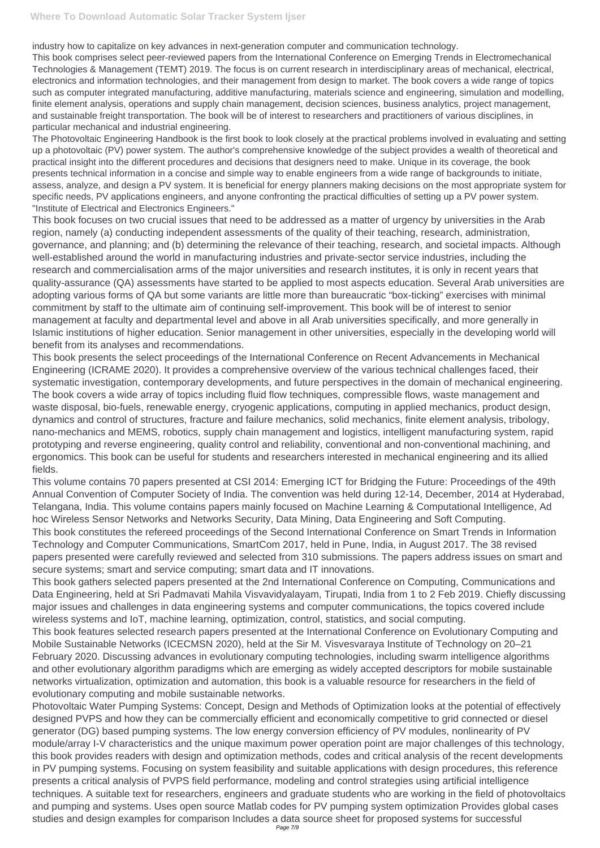industry how to capitalize on key advances in next-generation computer and communication technology.

This book comprises select peer-reviewed papers from the International Conference on Emerging Trends in Electromechanical Technologies & Management (TEMT) 2019. The focus is on current research in interdisciplinary areas of mechanical, electrical, electronics and information technologies, and their management from design to market. The book covers a wide range of topics such as computer integrated manufacturing, additive manufacturing, materials science and engineering, simulation and modelling, finite element analysis, operations and supply chain management, decision sciences, business analytics, project management, and sustainable freight transportation. The book will be of interest to researchers and practitioners of various disciplines, in particular mechanical and industrial engineering.

The Photovoltaic Engineering Handbook is the first book to look closely at the practical problems involved in evaluating and setting up a photovoltaic (PV) power system. The author's comprehensive knowledge of the subject provides a wealth of theoretical and practical insight into the different procedures and decisions that designers need to make. Unique in its coverage, the book presents technical information in a concise and simple way to enable engineers from a wide range of backgrounds to initiate, assess, analyze, and design a PV system. It is beneficial for energy planners making decisions on the most appropriate system for specific needs, PV applications engineers, and anyone confronting the practical difficulties of setting up a PV power system. "Institute of Electrical and Electronics Engineers."

This book focuses on two crucial issues that need to be addressed as a matter of urgency by universities in the Arab region, namely (a) conducting independent assessments of the quality of their teaching, research, administration, governance, and planning; and (b) determining the relevance of their teaching, research, and societal impacts. Although well-established around the world in manufacturing industries and private-sector service industries, including the research and commercialisation arms of the major universities and research institutes, it is only in recent years that quality-assurance (QA) assessments have started to be applied to most aspects education. Several Arab universities are adopting various forms of QA but some variants are little more than bureaucratic "box-ticking" exercises with minimal commitment by staff to the ultimate aim of continuing self-improvement. This book will be of interest to senior management at faculty and departmental level and above in all Arab universities specifically, and more generally in Islamic institutions of higher education. Senior management in other universities, especially in the developing world will benefit from its analyses and recommendations.

This book presents the select proceedings of the International Conference on Recent Advancements in Mechanical Engineering (ICRAME 2020). It provides a comprehensive overview of the various technical challenges faced, their systematic investigation, contemporary developments, and future perspectives in the domain of mechanical engineering. The book covers a wide array of topics including fluid flow techniques, compressible flows, waste management and waste disposal, bio-fuels, renewable energy, cryogenic applications, computing in applied mechanics, product design, dynamics and control of structures, fracture and failure mechanics, solid mechanics, finite element analysis, tribology, nano-mechanics and MEMS, robotics, supply chain management and logistics, intelligent manufacturing system, rapid prototyping and reverse engineering, quality control and reliability, conventional and non-conventional machining, and ergonomics. This book can be useful for students and researchers interested in mechanical engineering and its allied fields.

This volume contains 70 papers presented at CSI 2014: Emerging ICT for Bridging the Future: Proceedings of the 49th Annual Convention of Computer Society of India. The convention was held during 12-14, December, 2014 at Hyderabad, Telangana, India. This volume contains papers mainly focused on Machine Learning & Computational Intelligence, Ad hoc Wireless Sensor Networks and Networks Security, Data Mining, Data Engineering and Soft Computing. This book constitutes the refereed proceedings of the Second International Conference on Smart Trends in Information Technology and Computer Communications, SmartCom 2017, held in Pune, India, in August 2017. The 38 revised papers presented were carefully reviewed and selected from 310 submissions. The papers address issues on smart and secure systems; smart and service computing; smart data and IT innovations.

This book gathers selected papers presented at the 2nd International Conference on Computing, Communications and Data Engineering, held at Sri Padmavati Mahila Visvavidyalayam, Tirupati, India from 1 to 2 Feb 2019. Chiefly discussing major issues and challenges in data engineering systems and computer communications, the topics covered include wireless systems and IoT, machine learning, optimization, control, statistics, and social computing.

This book features selected research papers presented at the International Conference on Evolutionary Computing and Mobile Sustainable Networks (ICECMSN 2020), held at the Sir M. Visvesvaraya Institute of Technology on 20–21 February 2020. Discussing advances in evolutionary computing technologies, including swarm intelligence algorithms and other evolutionary algorithm paradigms which are emerging as widely accepted descriptors for mobile sustainable networks virtualization, optimization and automation, this book is a valuable resource for researchers in the field of evolutionary computing and mobile sustainable networks. Photovoltaic Water Pumping Systems: Concept, Design and Methods of Optimization looks at the potential of effectively designed PVPS and how they can be commercially efficient and economically competitive to grid connected or diesel generator (DG) based pumping systems. The low energy conversion efficiency of PV modules, nonlinearity of PV module/array I-V characteristics and the unique maximum power operation point are major challenges of this technology, this book provides readers with design and optimization methods, codes and critical analysis of the recent developments in PV pumping systems. Focusing on system feasibility and suitable applications with design procedures, this reference presents a critical analysis of PVPS field performance, modeling and control strategies using artificial intelligence techniques. A suitable text for researchers, engineers and graduate students who are working in the field of photovoltaics and pumping and systems. Uses open source Matlab codes for PV pumping system optimization Provides global cases studies and design examples for comparison Includes a data source sheet for proposed systems for successful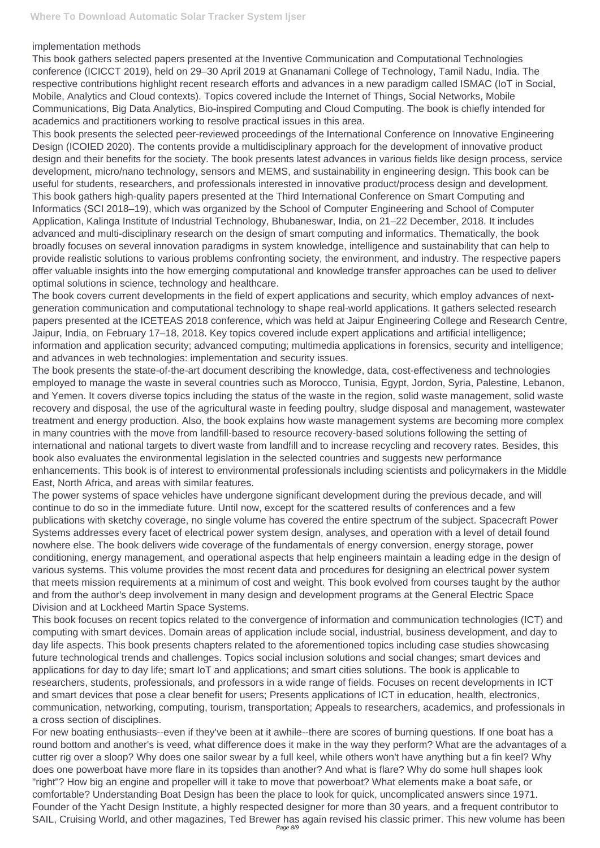## implementation methods

This book gathers selected papers presented at the Inventive Communication and Computational Technologies conference (ICICCT 2019), held on 29–30 April 2019 at Gnanamani College of Technology, Tamil Nadu, India. The respective contributions highlight recent research efforts and advances in a new paradigm called ISMAC (IoT in Social, Mobile, Analytics and Cloud contexts). Topics covered include the Internet of Things, Social Networks, Mobile Communications, Big Data Analytics, Bio-inspired Computing and Cloud Computing. The book is chiefly intended for academics and practitioners working to resolve practical issues in this area.

This book presents the selected peer-reviewed proceedings of the International Conference on Innovative Engineering Design (ICOIED 2020). The contents provide a multidisciplinary approach for the development of innovative product design and their benefits for the society. The book presents latest advances in various fields like design process, service development, micro/nano technology, sensors and MEMS, and sustainability in engineering design. This book can be useful for students, researchers, and professionals interested in innovative product/process design and development. This book gathers high-quality papers presented at the Third International Conference on Smart Computing and Informatics (SCI 2018–19), which was organized by the School of Computer Engineering and School of Computer Application, Kalinga Institute of Industrial Technology, Bhubaneswar, India, on 21–22 December, 2018. It includes advanced and multi-disciplinary research on the design of smart computing and informatics. Thematically, the book broadly focuses on several innovation paradigms in system knowledge, intelligence and sustainability that can help to provide realistic solutions to various problems confronting society, the environment, and industry. The respective papers offer valuable insights into the how emerging computational and knowledge transfer approaches can be used to deliver optimal solutions in science, technology and healthcare.

The book covers current developments in the field of expert applications and security, which employ advances of nextgeneration communication and computational technology to shape real-world applications. It gathers selected research papers presented at the ICETEAS 2018 conference, which was held at Jaipur Engineering College and Research Centre, Jaipur, India, on February 17–18, 2018. Key topics covered include expert applications and artificial intelligence; information and application security; advanced computing; multimedia applications in forensics, security and intelligence; and advances in web technologies: implementation and security issues.

The book presents the state-of-the-art document describing the knowledge, data, cost-effectiveness and technologies employed to manage the waste in several countries such as Morocco, Tunisia, Egypt, Jordon, Syria, Palestine, Lebanon, and Yemen. It covers diverse topics including the status of the waste in the region, solid waste management, solid waste recovery and disposal, the use of the agricultural waste in feeding poultry, sludge disposal and management, wastewater treatment and energy production. Also, the book explains how waste management systems are becoming more complex in many countries with the move from landfill-based to resource recovery-based solutions following the setting of international and national targets to divert waste from landfill and to increase recycling and recovery rates. Besides, this book also evaluates the environmental legislation in the selected countries and suggests new performance enhancements. This book is of interest to environmental professionals including scientists and policymakers in the Middle East, North Africa, and areas with similar features.

The power systems of space vehicles have undergone significant development during the previous decade, and will continue to do so in the immediate future. Until now, except for the scattered results of conferences and a few publications with sketchy coverage, no single volume has covered the entire spectrum of the subject. Spacecraft Power Systems addresses every facet of electrical power system design, analyses, and operation with a level of detail found nowhere else. The book delivers wide coverage of the fundamentals of energy conversion, energy storage, power conditioning, energy management, and operational aspects that help engineers maintain a leading edge in the design of various systems. This volume provides the most recent data and procedures for designing an electrical power system that meets mission requirements at a minimum of cost and weight. This book evolved from courses taught by the author and from the author's deep involvement in many design and development programs at the General Electric Space Division and at Lockheed Martin Space Systems.

This book focuses on recent topics related to the convergence of information and communication technologies (ICT) and computing with smart devices. Domain areas of application include social, industrial, business development, and day to

day life aspects. This book presents chapters related to the aforementioned topics including case studies showcasing future technological trends and challenges. Topics social inclusion solutions and social changes; smart devices and applications for day to day life; smart IoT and applications; and smart cities solutions. The book is applicable to researchers, students, professionals, and professors in a wide range of fields. Focuses on recent developments in ICT and smart devices that pose a clear benefit for users; Presents applications of ICT in education, health, electronics, communication, networking, computing, tourism, transportation; Appeals to researchers, academics, and professionals in a cross section of disciplines.

For new boating enthusiasts--even if they've been at it awhile--there are scores of burning questions. If one boat has a round bottom and another's is veed, what difference does it make in the way they perform? What are the advantages of a cutter rig over a sloop? Why does one sailor swear by a full keel, while others won't have anything but a fin keel? Why does one powerboat have more flare in its topsides than another? And what is flare? Why do some hull shapes look "right"? How big an engine and propeller will it take to move that powerboat? What elements make a boat safe, or comfortable? Understanding Boat Design has been the place to look for quick, uncomplicated answers since 1971. Founder of the Yacht Design Institute, a highly respected designer for more than 30 years, and a frequent contributor to SAIL, Cruising World, and other magazines, Ted Brewer has again revised his classic primer. This new volume has been Page 8/9